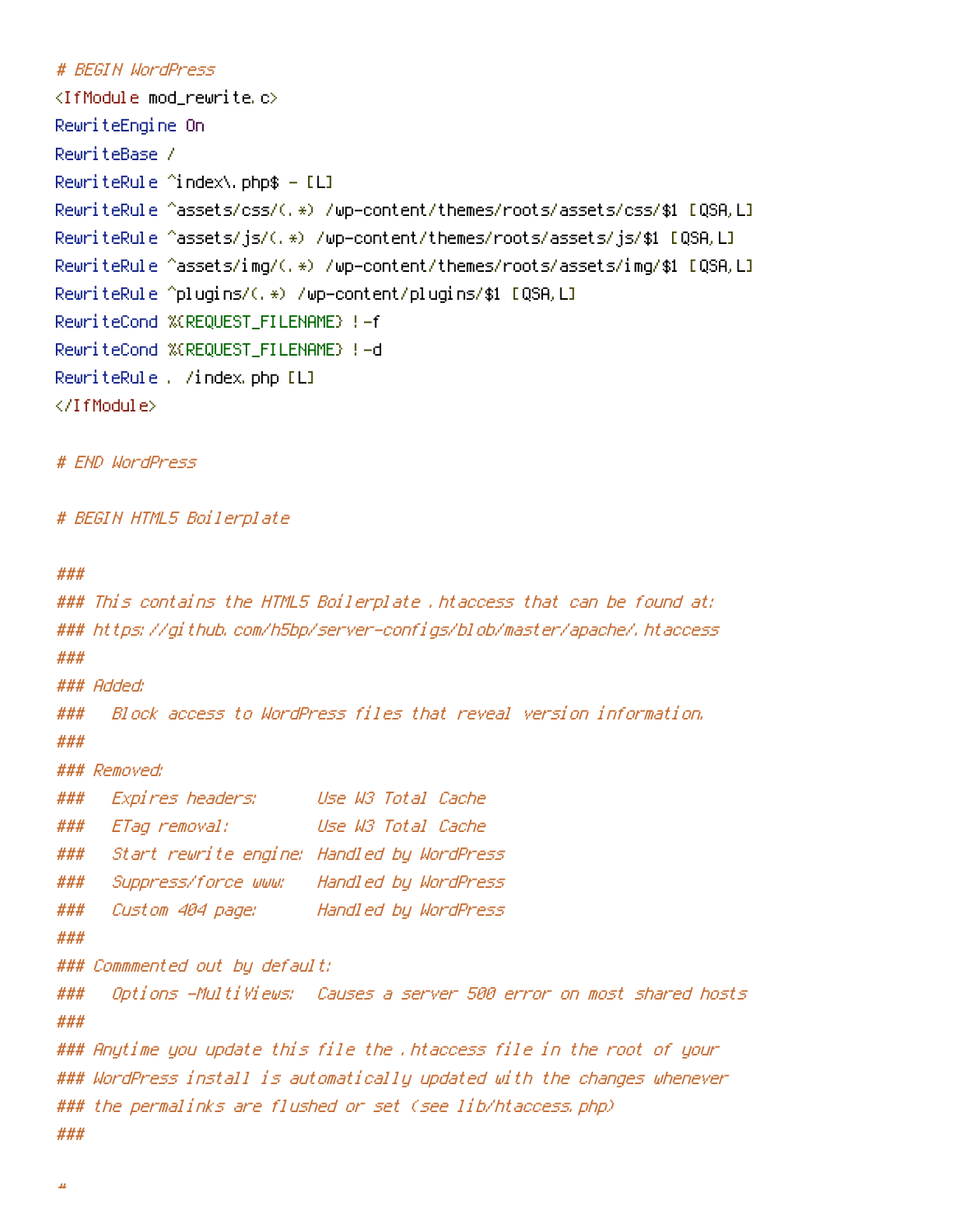## # BEGIN WordPress

```
\langleIfModule mod rewrite.c\rangleRewriteEngine On
RewriteBase /
RewriteRule 'index\, bhp$ - [L]
RewriteRule ^assets/css/(.*) /wp-content/themes/roots/assets/css/$1 [QSA,L]
RewriteRule ^assets/js/(.*) /wp-content/themes/roots/assets/js/$1 [QSA,L]
RewriteRule ^assets/img/(.*) /wp-content/themes/roots/assets/img/$1 [QSA,L]
RewriteRule ^plugins/(.*) /wp-content/plugins/$1 [QSA,L]
RewriteCond %{REQUEST_FILENAME} !-f
RewriteCond %{REQUEST_FILENAME} !-d
RewriteRule . /index.php [L]
</IfModule>
```
# END WordPress

# BEGIN HTML5 Boilerplate

```
###
```

```
### This contains the HTML5 Boilerplate .htaccess that can be found at:
### https://github.com/h5bp/server-configs/blob/master/apache/.htaccess
###
### Added:
### Block access to WordPress files that reveal version information.
###
### Removed:
### Expires headers: Use W3 Total Cache
### ETag removal: Use W3 Total Cache
### Start rewrite engine: Handled by WordPress
### Suppress/force www: Handled by WordPress
### Custom 404 page: Handled by WordPress
###
### Commmented out by default:
### Options -MultiViews: Causes a server 500 error on most shared hosts
###
### Anytime you update this file the .htaccess file in the root of your
### WordPress install is automatically updated with the changes whenever
### the permalinks are flushed or set (see lib/htaccess.php)
###
```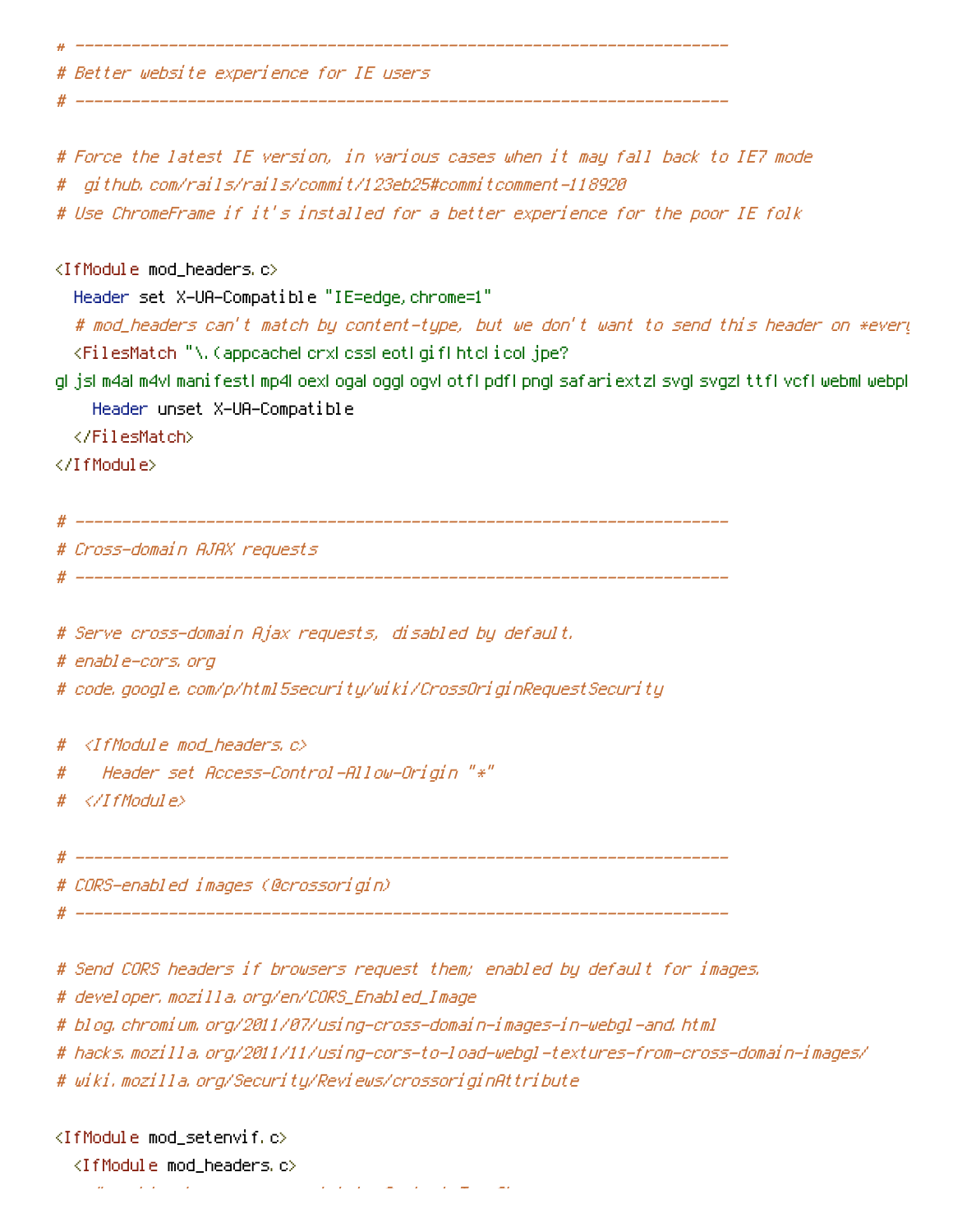# Better website experience for IE users

# ----------------------------------------------------------------------

# ----------------------------------------------------------------------

# Force the latest IE version, in various cases when it may fall back to IE7 mode # github.com/rails/rails/commit/123eb25#commitcomment-118920 # Use ChromeFrame if it's installed for <sup>a</sup> better experience for the poor IE folk <IfModule mod\_headers.c> Header set X-UA-Compatible "IE=edge,chrome=1" # mod\_headers can't match by content-type, but we don't want to send this header on \*every <FilesMatch "\.(appcache|crx|css|eot|gif|htc|ico|jpe? g|js|m4a|m4v|manifest|mp4|oex|oga|ogg|ogv|otf|pdf|png|safariextz|svg|svgz|ttf|vcf|webm|webp| Header unset X-UA-Compatible </FilesMatch> </IfModule> # ---------------------------------------------------------------------- # Cross-domain AJAX requests # ---------------------------------------------------------------------- # Serve cross-domain Ajax requests, disabled by default. # enable-cors.org # code.google.com/p/html5security/wiki/CrossOriginRequestSecurity # <IfModule mod\_headers.c> # Header set Access-Control-Allow-Origin "\*" # </IfModule> # ---------------------------------------------------------------------- # CORS-enabled images (@crossorigin) # ---------------------------------------------------------------------- # Send CORS headers if browsers request them; enabled by default for images.

# developer.mozilla.org/en/CORS\_Enabled\_Image

# blog.chromium.org/2011/07/using-cross-domain-images-in-webgl-and.html

# hacks.mozilla.org/2011/11/using-cors-to-load-webgl-textures-from-cross-domain-images/

# wiki.mozilla.org/Security/Reviews/crossoriginAttribute

<IfModule mod\_setenvif.c>

<IfModule mod\_headers.c>

# mod\_headers, y <sup>u</sup> no match by Content-Type?!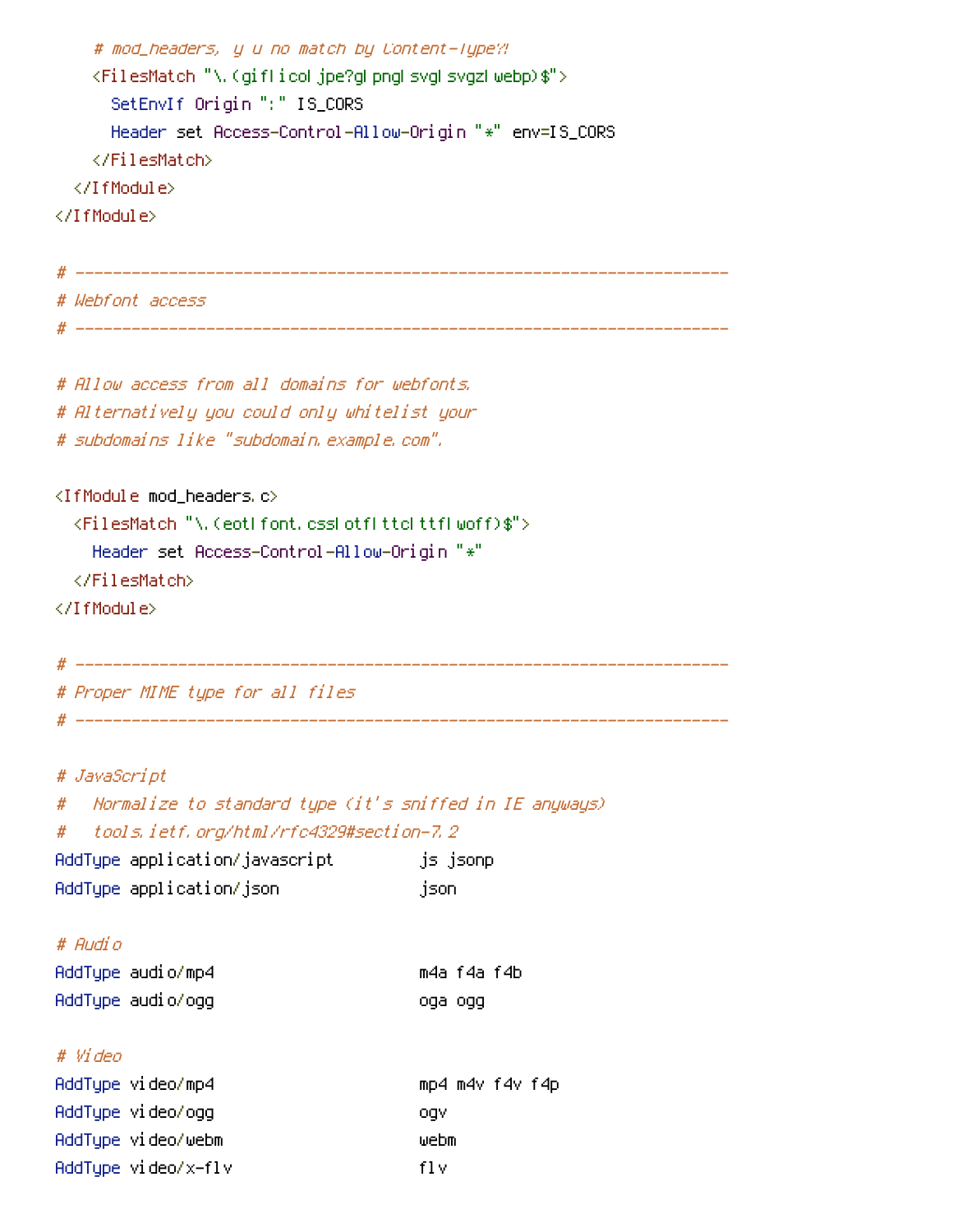```
# mod_headers, y u no match by Content-Type?!
    <FilesMatch "\.(gif|ico|jpe?g|png|svg|svgz|webp)$">
      SetEnvIf Origin ":" IS_CORS
      Header set Access-Control-Allow-Origin "*" env=IS_CORS
    </FilesMatch>
  </IfModule>
</IfModule>
# ----------------------------------------------------------------------
# Webfont access
# ----------------------------------------------------------------------
# Allow access from all domains for webfonts.
# Alternatively you could only whitelist your
# subdomains like "subdomain.example.com".
<IfModule mod_headers.c>
  <FilesMatch "\.(eot|font.css|otf|ttc|ttf|woff)$">
    Header set Access-Control-Allow-Origin "*"
  </FilesMatch>
</IfModule>
# ----------------------------------------------------------------------
# Proper MIME type for all files
# ----------------------------------------------------------------------
# JavaScript
# Normalize to standard type (it's sniffed in IE anyways)
# tools.ietf.org/html/rfc4329#section-7.2
AddType application/javascript is jsonp
AddType application/json json
```
## # Audio

| AddType audio/mp4 |         | m4a f4a f4b |
|-------------------|---------|-------------|
| AddType audio/ogg | oga ogg |             |

## # Video

| AddTupe video/mp4   | mp4 m4v f4v f4p |
|---------------------|-----------------|
| AddTupe video/ogg   | oav             |
| AddTupe video/webm  | webm            |
| AddType video/x-flv | fl v            |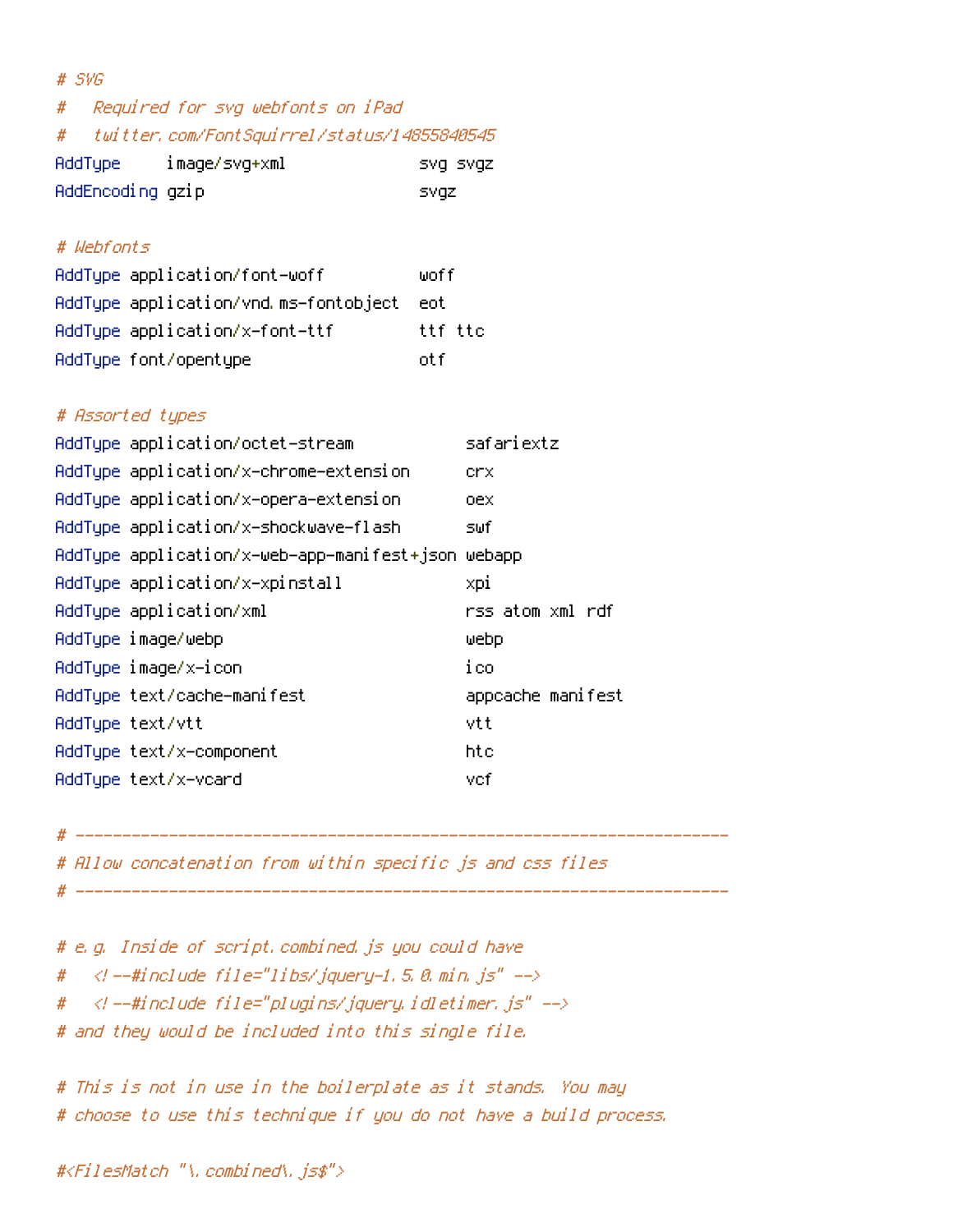| $#$ SVG                                          |          |
|--------------------------------------------------|----------|
| Required for svg webfonts on iPad<br>#           |          |
| twitter.com/FontSquirrel/status/14855840545<br># |          |
| AddType image/svg+xml                            | SVQ SVQZ |
| AddEncoding gzip                                 | svgz     |
|                                                  |          |
| # Webfonts                                       |          |
| AddType application/font-woff                    | woff     |
| AddType application/vnd.ms-fontobject eot        |          |
| AddType application/x-font-ttf                   | ttf ttc  |
| AddType font/opentype                            | otf      |
|                                                  |          |
| # Assorted types                                 |          |
| AddTupe application/octet-stream                 | saf a    |

| AddTupe application/octet-stream                   | safariextz        |
|----------------------------------------------------|-------------------|
| AddType application/x-chrome-extension             | crx.              |
| AddType application/x-opera-extension              | oex               |
| AddType application/x-shockwave-flash              | s⊎fl              |
| AddType application/x-web-app-manifest+json webapp |                   |
| AddType application/x-xpinstall                    | xpi               |
| AddType application/xml                            | rss atom xml rdf  |
| AddType image/webp                                 | webp              |
| AddType image/x-icon                               | ico               |
| AddType text/cache-manifest                        | appcache manifest |
| AddTupe text/vtt                                   | vtt               |
| AddType text/x-component                           | htc               |
| AddTupe text/x-vcard                               | vcf               |

# ----------------------------------------------------------------------

# Allow concatenation from within specific js and css files

# ----------------------------------------------------------------------

# e.g. Inside of script.combined.js you could have

#  $\langle$  --#include file="libs/jquery-1.5.0.min.js" -->

#  $\langle$  --#include file="plugins/jquery.idletimer.js" -->

# and they would be included into this single file.

```
# This is not in use in the boilerplate as it stands. You may
# choose to use this technique if you do not have a build process.
```
#<FilesMatch "\.combined\.js\$">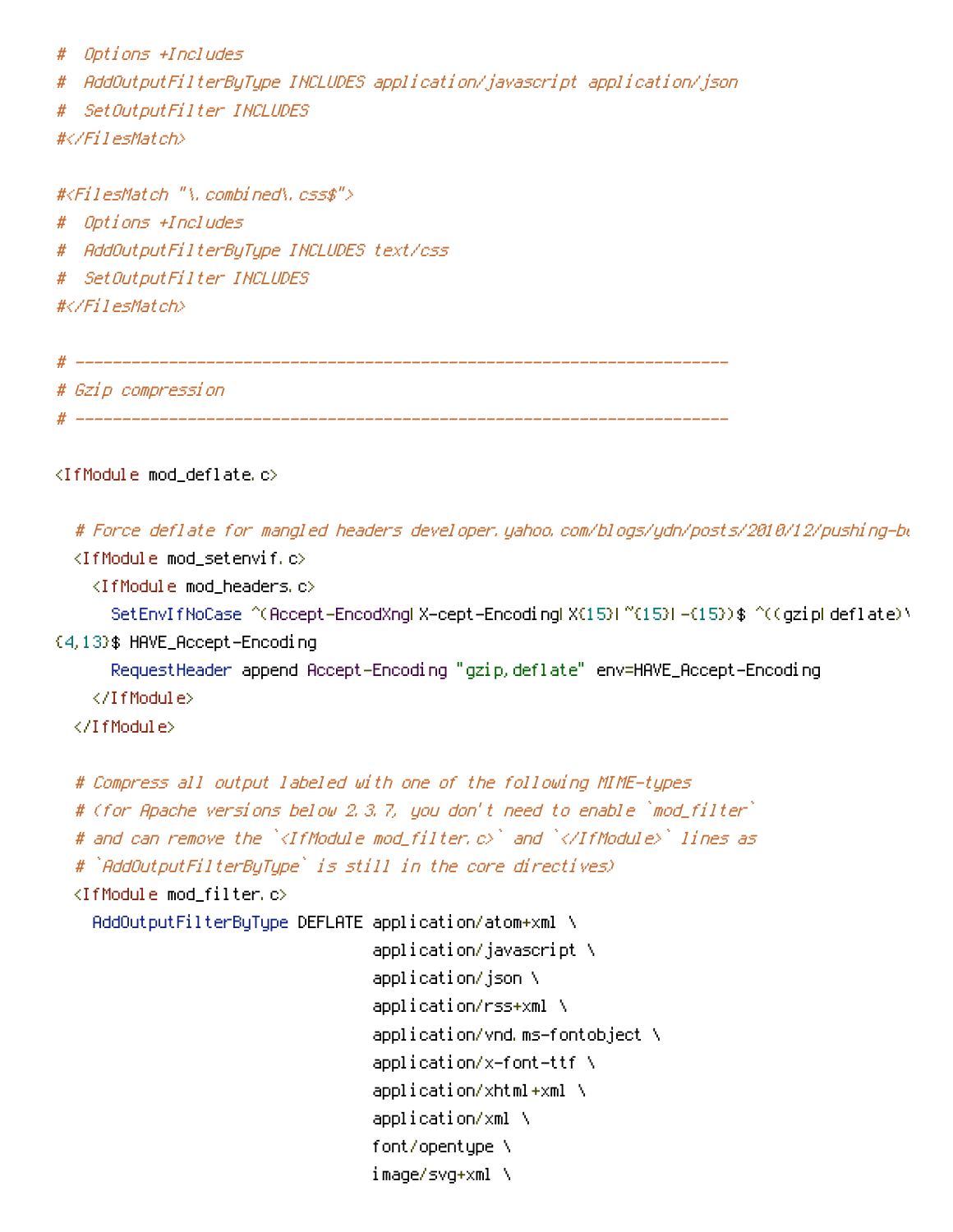# Options +Includes

# AddOutputFilterByType INCLUDES application/javascript application/json

# SetOutputFilter INCLUDES #</FilesMatch>

#<FilesMatch "\.combined\.css\$"> # Options +Includes # AddOutputFilterByType INCLUDES text/css # SetOutputFilter INCLUDES #</FilesMatch> # ----------------------------------------------------------------------

# Gzip compression # ----------------------------------------------------------------------

<IfModule mod\_deflate.c>

# Force deflate for mangled headers developer.yahoo.com/blogs/ydn/posts/2010/12/pushing-be <IfModule mod\_setenvif.c> <IfModule mod\_headers.c> SetEnvIfNoCase ^(Accept-EncodXngHX-cept-EncodingHX{15}H^{15}H-{15})\$ ^((gzipHdeflate)\ {4,13}\$ HAVE\_Accept-Encoding RequestHeader append Accept-Encoding "gzip,deflate" env=HAVE\_Accept-Encoding </IfModule>

</IfModule>

```
# Compress all output labeled with one of the following MIME-types
# (for Apache versions below 2.3.7, you don't need to enable `mod_filter`
# and can remove the `<IfModule mod_filter.c>` and `</IfModule>` lines as
# `AddOutputFilterByType` is still in the core directives)
<IfModule mod_filter.c>
  AddOutputFilterByType DEFLATE application/atom+xml \
                                application/javascript \
                                application/json \
                                application/rss+xml \
                                application/vnd.ms-fontobject \
                                application/x-font-ttf \
                                application/xhtml+xml \lambdaapplication/xml \
                                font/opentype \
```
image/svg+xml \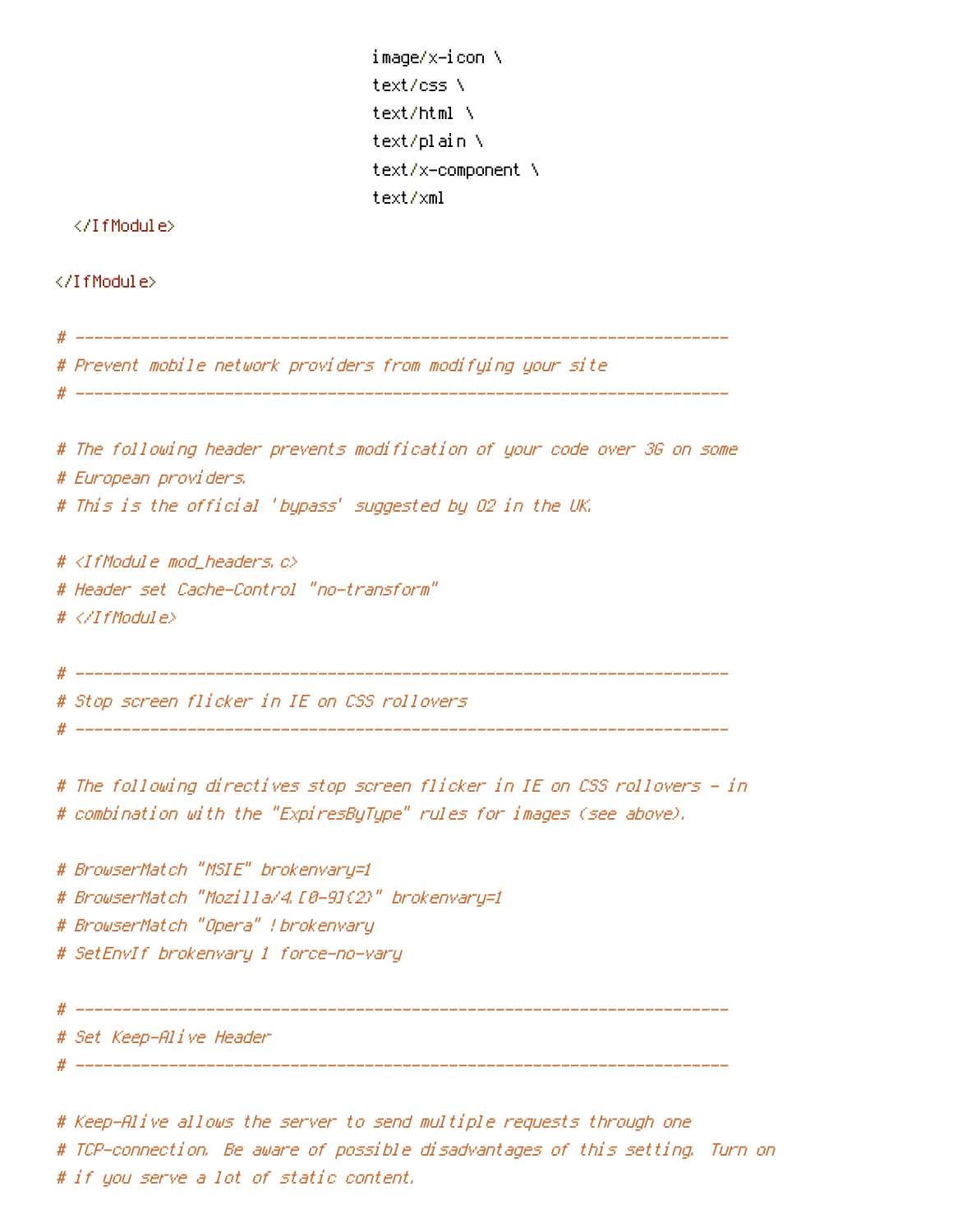```
image/x-icon \
text/css \
text/html \
text/plain \
text/x-component \
text/xml
```
</IfModule>

</IfModule>

# ---------------------------------------------------------------------- # Prevent mobile network providers from modifying your site # ---------------------------------------------------------------------- # The following header prevents modification of your code over 3G on some # European providers. # This is the official 'bypass' suggested by O2 in the UK. # <IfModule mod\_headers.c> # Header set Cache-Control "no-transform" # </IfModule> # ---------------------------------------------------------------------- # Stop screen flicker in IE on CSS rollovers # ---------------------------------------------------------------------- # The following directives stop screen flicker in IE on CSS rollovers - in # combination with the "ExpiresByType" rules for images (see above). # BrowserMatch "MSIE" brokenvary=1 # BrowserMatch "Mozilla/4.[0-9]{2}" brokenvary=1 # BrowserMatch "Opera" !brokenvary # SetEnvIf brokenvary 1 force-no-vary # ---------------------------------------------------------------------- # Set Keep-Alive Header # ----------------------------------------------------------------------

# Keep-Alive allows the server to send multiple requests through one # TCP-connection. Be aware of possible disadvantages of this setting. Turn on # if you serve <sup>a</sup> lot of static content.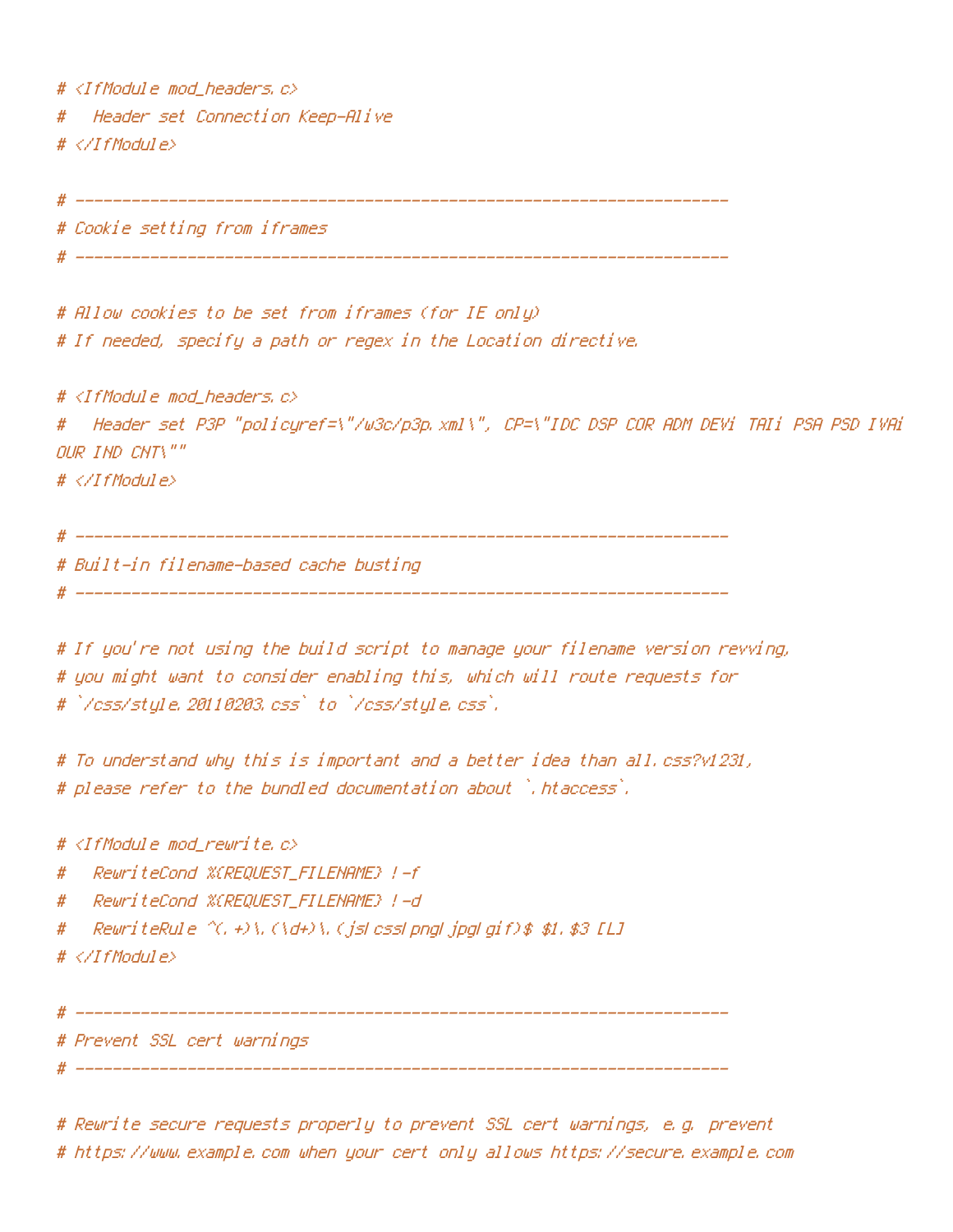$#$  <IfModule mod headers,  $c$ > # Header set Connection Keep-Alive # </IfModule>

# ----------------------------------------------------------------------

# Cookie setting from iframes

# ----------------------------------------------------------------------

# Allow cookies to be set from iframes (for IE only) # If needed, specify <sup>a</sup> path or regex in the Location directive.

 $#$  <IfModule mod headers,  $c$ > # Header set P3P "policyref=\"/w3c/p3p.xml\", CP=\"IDC DSP COR ADM DEVi TAIi PSA PSD IVAi OUR IND CNT\"" # </IfModule>

# ----------------------------------------------------------------------

# Built-in filename-based cache busting

# ----------------------------------------------------------------------

# If you're not using the build script to manage your filename version revving, # you might want to consider enabling this, which will route requests for # `/css/style.20110203.css` to `/css/style.css`.

# To understand why this is important and <sup>a</sup> better idea than all.css?v1231, # please refer to the bundled documentation about `.htaccess`.

#  $\triangleleft$  fModule mod rewrite.c>

# RewriteCond %{REQUEST\_FILENAME} !-f

# RewriteCond %{REQUEST\_FILENAME} !-d

# RewriteRule  $\gamma$ (, +)\.(\d+)\.(js|css|png|jpg|gif)\$ \$1.\$3 [L]

# </IfModule>

# ----------------------------------------------------------------------

# Prevent SSL cert warnings

# ----------------------------------------------------------------------

# Rewrite secure requests properly to prevent SSL cert warnings, e.g. prevent # https://www.example.com when your cert only allows https://secure.example.com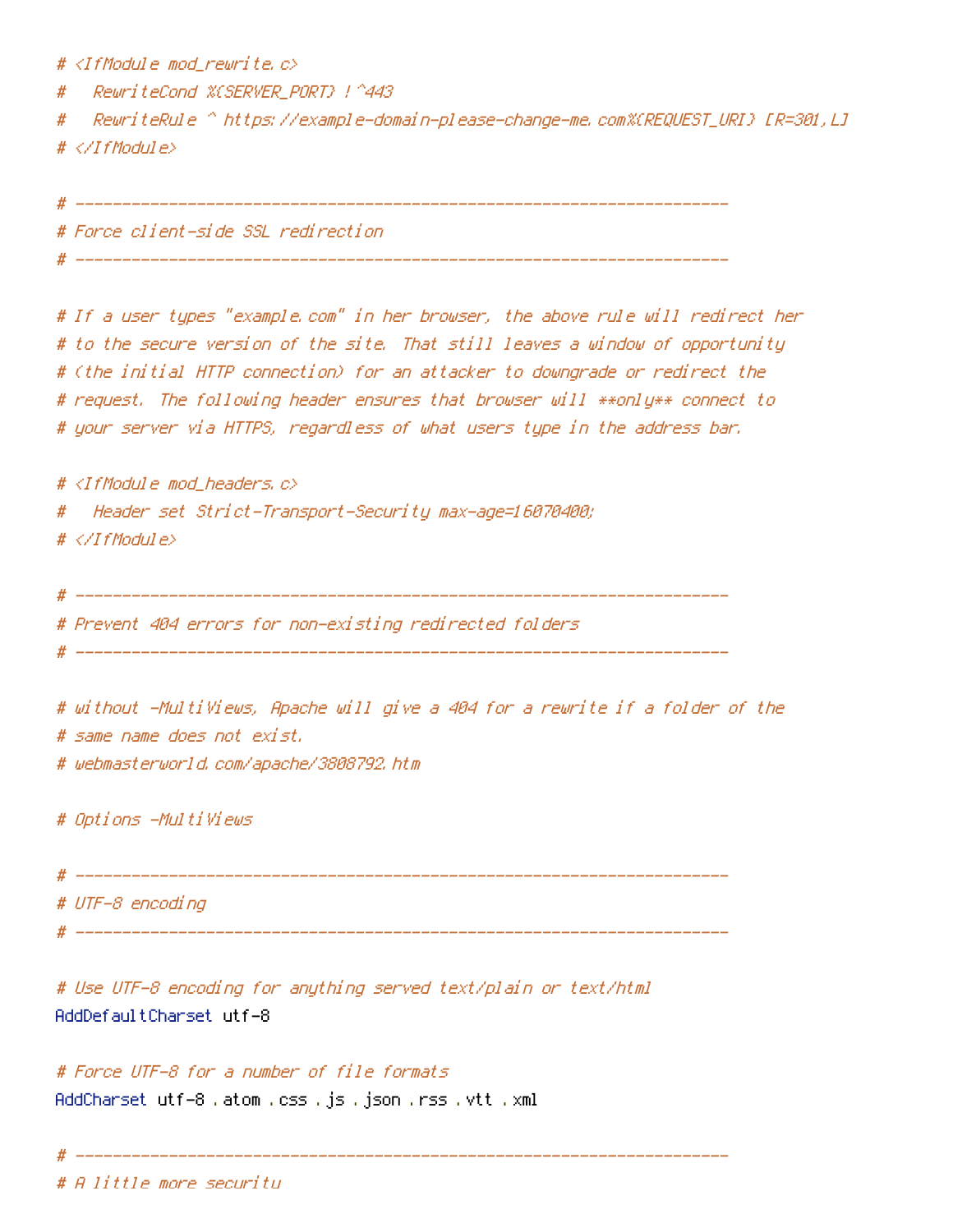#  $\triangleleft$ IfModule mod rewrite.c>

# RewriteCond %{SERVER\_PORT} !^443

# RewriteRule ^ https://example-domain-please-change-me.com%{REQUEST\_URI} [R=301,L] # </IfModule>

# ----------------------------------------------------------------------

# ----------------------------------------------------------------------

# Force client-side SSL redirection

# If <sup>a</sup> user types "example.com" in her browser, the above rule will redirect her # to the secure version of the site. That still leaves <sup>a</sup> window of opportunity # (the initial HTTP connection) for an attacker to downgrade or redirect the # request. The following header ensures that browser will \*\*only\*\* connect to # your server via HTTPS, regardless of what users type in the address bar.

 $#$  <IfModule mod headers,  $c$ > # Header set Strict-Transport-Security max-age=16070400; # </IfModule>

# ----------------------------------------------------------------------

# Prevent 404 errors for non-existing redirected folders

# ----------------------------------------------------------------------

# without -MultiViews, Apache will give <sup>a</sup> 404 for <sup>a</sup> rewrite if <sup>a</sup> folder of the # same name does not exist.

# webmasterworld.com/apache/3808792.htm

# Options -MultiViews

# ---------------------------------------------------------------------- # UTF-8 encoding # ----------------------------------------------------------------------

# Use UTF-8 encoding for anything served text/plain or text/html AddDefaultCharset utf-8

# Force UTF-8 for <sup>a</sup> number of file formats AddCharset utf-8 .atom .css .js .json .rss .vtt .xml

# ----------------------------------------------------------------------

# A little more security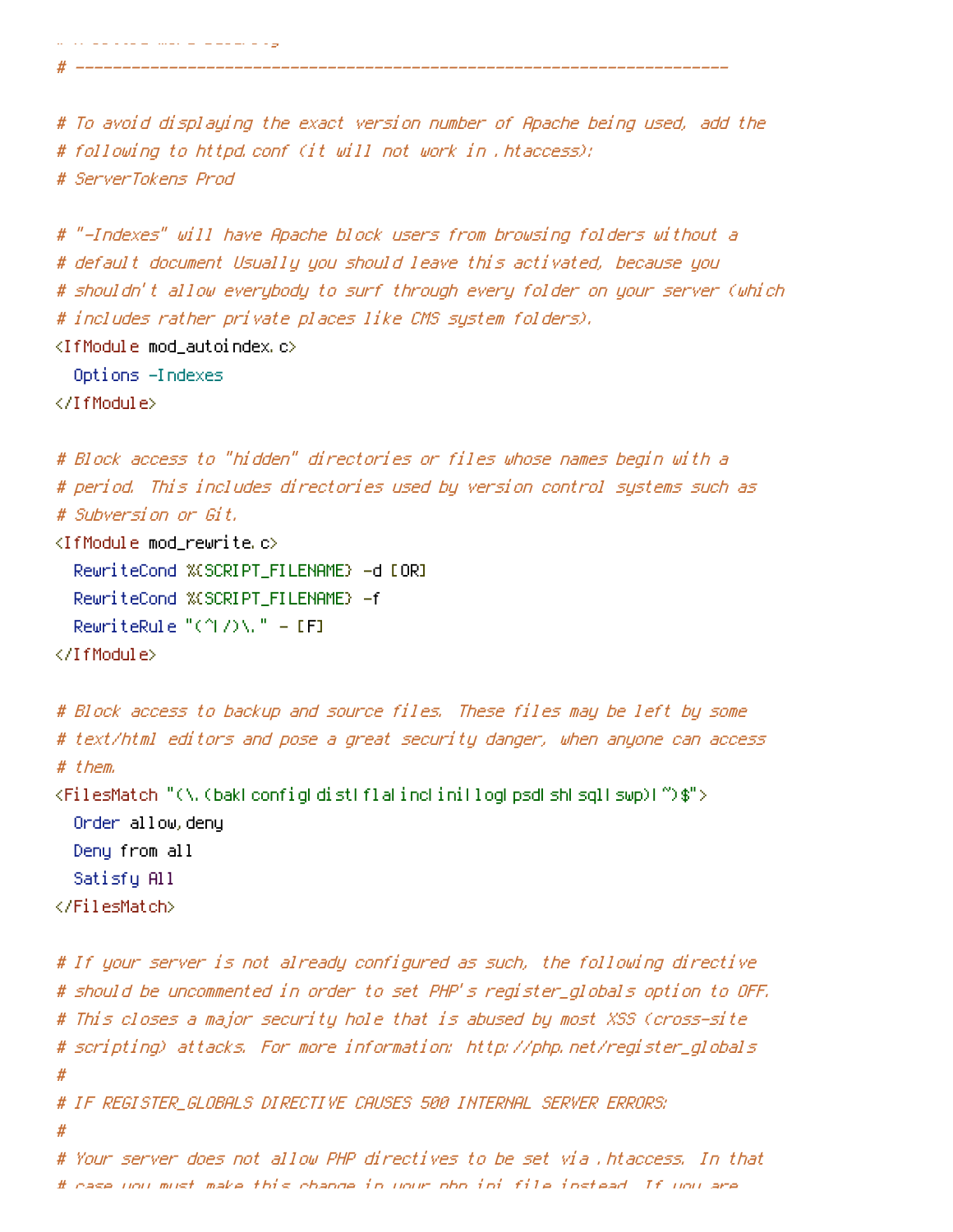```
# A little more security
```
# To avoid displaying the exact version number of Apache being used, add the # following to httpd.conf (it will not work in .htaccess): # ServerTokens Prod

# ----------------------------------------------------------------------

# "-Indexes" will have Apache block users from browsing folders without <sup>a</sup> # default document Usually you should leave this activated, because you # shouldn't allow everybody to surf through every folder on your server (which # includes rather private places like CMS system folders).

<IfModule mod\_autoindex.c>

Options -Indexes

</IfModule>

```
# Block access to "hidden" directories or files whose names begin with a
# period. This includes directories used by version control systems such as
# Subversion or Git.
```

```
\langleIfModule mod rewrite.c\rangleRewriteCond %{SCRIPT_FILENAME} -d [OR]
  RewriteCond %{SCRIPT_FILENAME} -f
  RewriteRule "(^|/)\." - [F]
```
</IfModule>

```
# Block access to backup and source files. These files may be left by some
# text/html editors and pose a great security danger, when anyone can access
# them.
<FilesMatch "(\.(bak|config|dist|fla|inc|ini|log|psd|sh|sql|swp)|~)$">
  Order allow,deny
  Deny from all
  Satisfy All
</FilesMatch>
```

```
# If your server is not already configured as such, the following directive
# should be uncommented in order to set PHP's register_globals option to OFF.
# This closes a major security hole that is abused by most XSS (cross-site
# scripting) attacks. For more information: http://php.net/register_globals
#
# IF REGISTER_GLOBALS DIRECTIVE CAUSES 500 INTERNAL SERVER ERRORS:
#
# Your server does not allow PHP directives to be set via .htaccess. In that
```

```
# case you must make this change in your php.ini file instead. If you are
```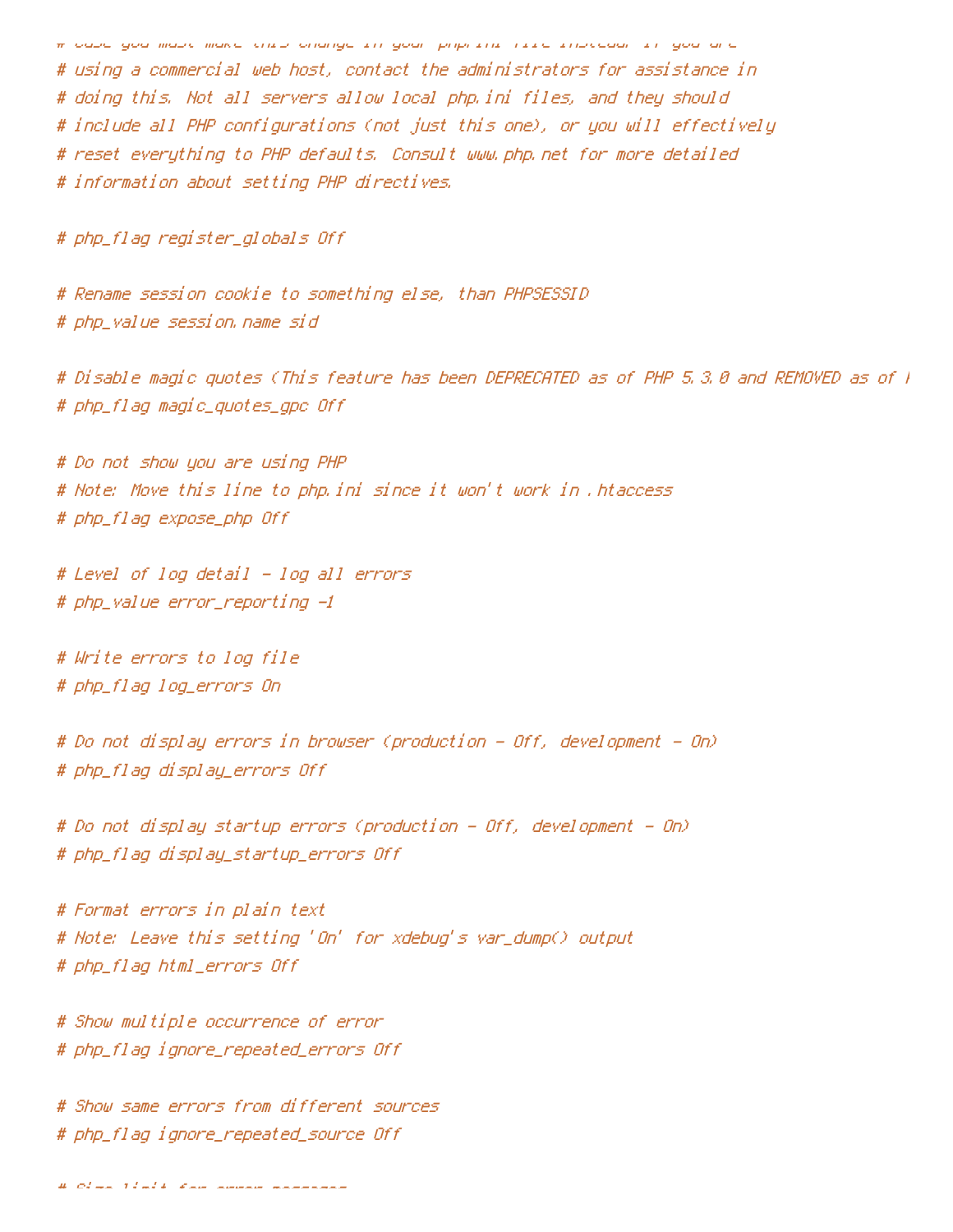# case you must make this change in your php.ini file instead. If you are # using <sup>a</sup> commercial web host, contact the administrators for assistance in # doing this. Not all servers allow local php.ini files, and they should # include all PHP configurations (not just this one), or you will effectively # reset everything to PHP defaults. Consult www.php.net for more detailed # information about setting PHP directives.

# php\_flag register\_globals Off

# Rename session cookie to something else, than PHPSESSID # php\_value session.name sid

# Disable magic quotes (This feature has been DEPRECATED as of PHP 5.3.0 and REMOVED as of PHP 5.4.0.) # php\_flag magic\_quotes\_gpc Off

# Do not show you are using PHP # Note: Move this line to php.ini since it won't work in .htaccess # php\_flag expose\_php Off

# Level of log detail - log all errors # php\_value error\_reporting -1

# Write errors to log file # php\_flag log\_errors On

# Do not display errors in browser (production - Off, development - On) # php\_flag display\_errors Off

# Do not display startup errors (production - Off, development - On) # php\_flag display\_startup\_errors Off

# Format errors in plain text # Note: Leave this setting 'On' for xdebug's var\_dump() output # php\_flag html\_errors Off

# Show multiple occurrence of error # php\_flag ignore\_repeated\_errors Off

# Show same errors from different sources # php\_flag ignore\_repeated\_source Off